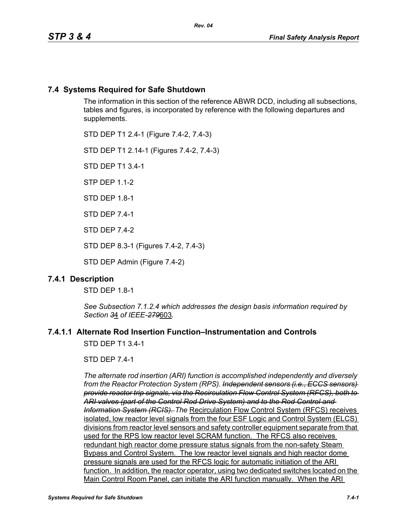# **7.4 Systems Required for Safe Shutdown**

The information in this section of the reference ABWR DCD, including all subsections, tables and figures, is incorporated by reference with the following departures and supplements.

STD DEP T1 2.4-1 (Figure 7.4-2, 7.4-3)

STD DEP T1 2.14-1 (Figures 7.4-2, 7.4-3)

STD DEP T1 3.4-1

STP DEP 1.1-2

STD DEP 1.8-1

STD DEP 7.4-1

STD DEP 7.4-2

STD DEP 8.3-1 (Figures 7.4-2, 7.4-3)

STD DEP Admin (Figure 7.4-2)

# **7.4.1 Description**

STD DFP 18-1

*See Subsection 7.1.2.4 which addresses the design basis information required by Section 3*4 *of IEEE-279*603*.*

# **7.4.1.1 Alternate Rod Insertion Function–Instrumentation and Controls**

STD DEP T1 3.4-1

STD DEP 7.4-1

*The alternate rod insertion (ARI) function is accomplished independently and diversely from the Reactor Protection System (RPS). Independent sensors (i.e., ECCS sensors) provide reactor trip signals, via the Recirculation Flow Control System (RFCS), both to ARI valves (part of the Control Rod Drive System) and to the Rod Control and Information System (RCIS). The* Recirculation Flow Control System (RFCS) receives isolated, low reactor level signals from the four ESF Logic and Control System (ELCS) divisions from reactor level sensors and safety controller equipment separate from that used for the RPS low reactor level SCRAM function. The RFCS also receives redundant high reactor dome pressure status signals from the non-safety Steam Bypass and Control System. The low reactor level signals and high reactor dome pressure signals are used for the RFCS logic for automatic initiation of the ARI function. In addition, the reactor operator, using two dedicated switches located on the Main Control Room Panel, can initiate the ARI function manually. When the ARI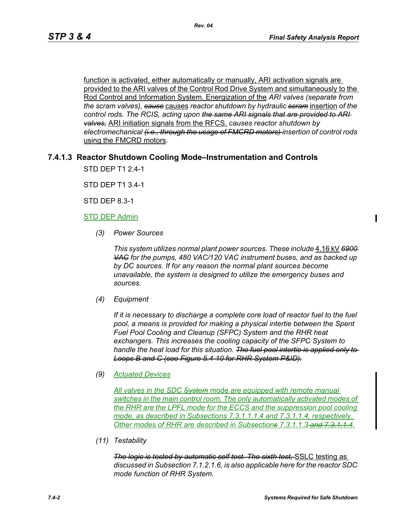function is activated, either automatically or manually, ARI activation signals are provided to the ARI valves of the Control Rod Drive System and simultaneously to the Rod Control and Information System. Energization of the *ARI valves (separate from the scram valves), cause* causes *reactor shutdown by hydraulic scram* insertion *of the control rods. The RCIS, acting upon the same ARI signals that are provided to ARI valves,* ARI initiation signals from the RFCS, *causes reactor shutdown by electromechanical (i.e., through the usage of FMCRD motors) insertion of control rods*  using the FMCRD motors*.*

#### **7.4.1.3 Reactor Shutdown Cooling Mode–Instrumentation and Controls**

STD DEP T1 2.4-1

STD DEP T1 3.4-1

STD DEP 8.3-1

#### STD DEP Admin

*(3) Power Sources*

*This system utilizes normal plant power sources. These include* 4.16 kV *6900 VAC for the pumps, 480 VAC/120 VAC instrument buses, and as backed up by DC sources. If for any reason the normal plant sources become unavailable, the system is designed to utilize the emergency buses and sources.*

*(4) Equipment*

*If it is necessary to discharge a complete core load of reactor fuel to the fuel pool, a means is provided for making a physical intertie between the Spent Fuel Pool Cooling and Cleanup (SFPC) System and the RHR heat exchangers. This increases the cooling capacity of the SFPC System to handle the heat load for this situation. The fuel pool intertie is applied only to Loops B and C (see Figure 5.4-10 for RHR System P&ID).*

#### *(9) Actuated Devices*

*All valves in the SDC System* mode *are equipped with remote manual switches in the main control room. The only automatically activated modes of the RHR are the LPFL mode for the ECCS and the suppression pool cooling mode, as described in Subsections 7.3.1.1.1.4 and 7.3.1.1.4, respectively. Other modes of RHR are described in Subsections 7.3.1.1.3 and 7.3.1.1.4*.

*(11) Testability*

*The logic is tested by automatic self test. The sixth test, SSLC testing as discussed in Subsection 7.1.2.1.6, is also applicable here for the reactor SDC mode function of RHR System.*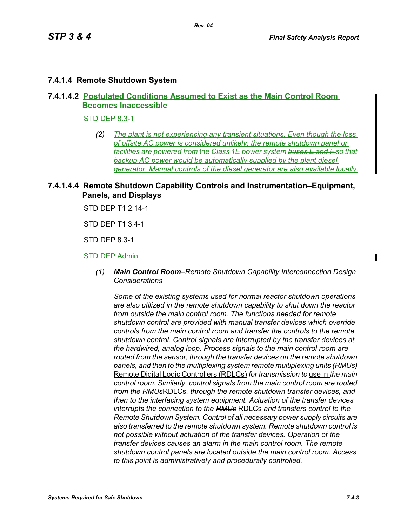## **7.4.1.4 Remote Shutdown System**

# **7.4.1.4.2 Postulated Conditions Assumed to Exist as the Main Control Room Becomes Inaccessible**

STD DEP 8.3-1

*(2) The plant is not experiencing any transient situations. Even though the loss of offsite AC power is considered unlikely, the remote shutdown panel or facilities are powered from* the *Class 1E power system buses E and F so that backup AC power would be automatically supplied by the plant diesel generator. Manual controls of the diesel generator are also available locally.*

## **7.4.1.4.4 Remote Shutdown Capability Controls and Instrumentation–Equipment, Panels, and Displays**

STD DEP T1 2.14-1

STD DEP T1 3.4-1

STD DEP 8.3-1

#### STD DEP Admin

*(1) Main Control Room–Remote Shutdown Capability Interconnection Design Considerations*

*Some of the existing systems used for normal reactor shutdown operations are also utilized in the remote shutdown capability to shut down the reactor from outside the main control room. The functions needed for remote shutdown control are provided with manual transfer devices which override controls from the main control room and transfer the controls to the remote shutdown control. Control signals are interrupted by the transfer devices at the hardwired, analog loop. Process signals to the main control room are routed from the sensor, through the transfer devices on the remote shutdown panels, and then to the multiplexing system remote multiplexing units (RMUs)* Remote Digital Logic Controllers (RDLCs) *for transmission to* use in *the main control room. Similarly, control signals from the main control room are routed from the RMUs*RDLCs*, through the remote shutdown transfer devices, and then to the interfacing system equipment. Actuation of the transfer devices interrupts the connection to the RMUs* RDLCs *and transfers control to the Remote Shutdown System. Control of all necessary power supply circuits are also transferred to the remote shutdown system. Remote shutdown control is not possible without actuation of the transfer devices. Operation of the transfer devices causes an alarm in the main control room. The remote shutdown control panels are located outside the main control room. Access to this point is administratively and procedurally controlled.*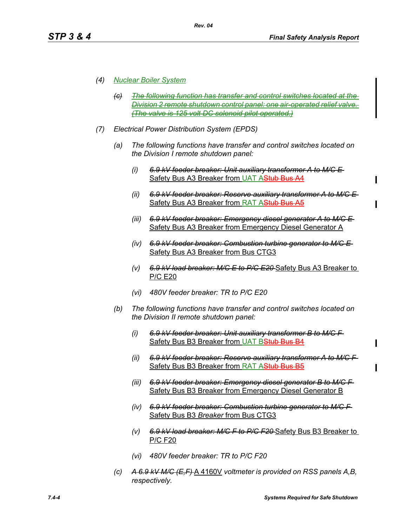#### *(4) Nuclear Boiler System*

- *(c) The following function has transfer and control switches located at the Division 2 remote shutdown control panel: one air-operated relief valve. (The valve is 125 volt DC solenoid pilot operated.)*
- *(7) Electrical Power Distribution System (EPDS)*

*Rev. 04*

- *(a) The following functions have transfer and control switches located on the Division I remote shutdown panel:*
	- *(i) 6.9 kV feeder breaker: Unit auxiliary transformer A to M/C E*  Safety Bus A3 Breaker from UAT AStub Bus A4
	- *(ii) 6.9 kV feeder breaker: Reserve auxiliary transformer A to M/C E*  Safety Bus A3 Breaker from RAT AStub Bus A5
	- *(iii) 6.9 kV feeder breaker: Emergency diesel generator A to M/C E*  Safety Bus A3 Breaker from Emergency Diesel Generator A
	- *(iv) 6.9 kV feeder breaker: Combustion turbine generator to M/C E*  Safety Bus A3 Breaker from Bus CTG3
	- *(v) 6.9 kV load breaker: M/C E to P/C E20* Safety Bus A3 Breaker to P/C E20
	- *(vi) 480V feeder breaker: TR to P/C E20*
- *(b) The following functions have transfer and control switches located on the Division II remote shutdown panel:*
	- *(i) 6.9 kV feeder breaker: Unit auxiliary transformer B to M/C F*  Safety Bus B3 Breaker from UAT BStub Bus B4
	- *(ii) 6.9 kV feeder breaker: Reserve auxiliary transformer A to M/C F*  Safety Bus B3 Breaker from RAT AStub Bus B5
	- *(iii) 6.9 kV feeder breaker: Emergency diesel generator B to M/C F*  Safety Bus B3 Breaker from Emergency Diesel Generator B
	- *(iv) 6.9 kV feeder breaker: Combustion turbine generator to M/C F*  Safety Bus B3 *Breaker* from Bus CTG3
	- *(v) 6.9 kV load breaker: M/C F to P/C F20* Safety Bus B3 Breaker to P/C F20
	- *(vi) 480V feeder breaker: TR to P/C F20*
- *(c) A 6.9 kV M/C (E,F)* A 4160V *voltmeter is provided on RSS panels A,B, respectively.*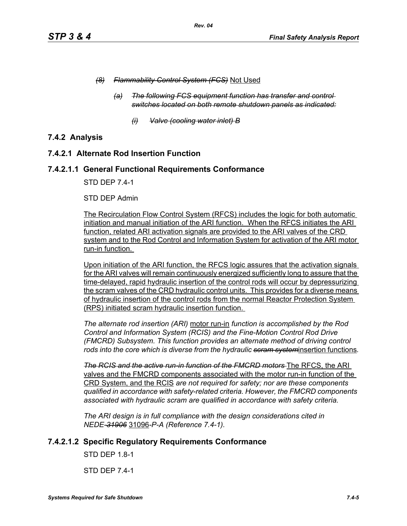- *(8) Flammability Control System (FCS)* Not Used
	- *(a) The following FCS equipment function has transfer and control switches located on both remote shutdown panels as indicated:*
		- *(i) Valve (cooling water inlet) B*

# **7.4.2 Analysis**

## **7.4.2.1 Alternate Rod Insertion Function**

## **7.4.2.1.1 General Functional Requirements Conformance**

STD DEP 7.4-1

#### STD DEP Admin

The Recirculation Flow Control System (RFCS) includes the logic for both automatic initiation and manual initiation of the ARI function. When the RFCS initiates the ARI function, related ARI activation signals are provided to the ARI valves of the CRD system and to the Rod Control and Information System for activation of the ARI motor run-in function.

Upon initiation of the ARI function, the RFCS logic assures that the activation signals for the ARI valves will remain continuously energized sufficiently long to assure that the time-delayed, rapid hydraulic insertion of the control rods will occur by depressurizing the scram valves of the CRD hydraulic control units. This provides for a diverse means of hydraulic insertion of the control rods from the normal Reactor Protection System (RPS) initiated scram hydraulic insertion function.

*The alternate rod insertion (ARI)* motor run-in *function is accomplished by the Rod Control and Information System (RCIS) and the Fine-Motion Control Rod Drive (FMCRD) Subsystem. This function provides an alternate method of driving control rods into the core which is diverse from the hydraulic scram system*insertion functions*.*

**The RCIS and the active run-in function of the FMCRD motors** The RFCS, the ARI valves and the FMCRD components associated with the motor run-in function of the CRD System, and the RCIS *are not required for safety; nor are these components qualified in accordance with safety-related criteria. However, the FMCRD components associated with hydraulic scram are qualified in accordance with safety criteria.*

*The ARI design is in full compliance with the design considerations cited in NEDE-31906* 31096*-P-A (Reference 7.4-1).* 

# **7.4.2.1.2 Specific Regulatory Requirements Conformance**

STD DEP 1.8-1

STD DEP 7.4-1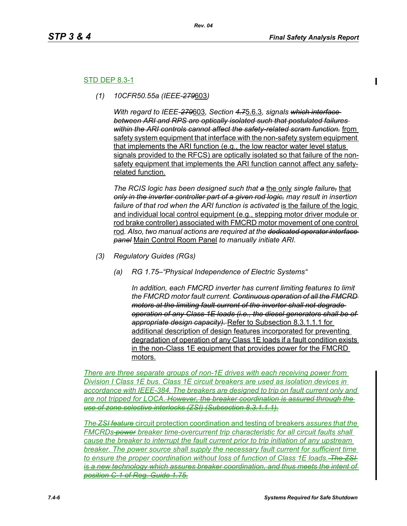#### STD DEP 8.3-1

*(1) 10CFR50.55a (IEEE-279*603*)*

*With regard to IEEE-279*603*, Section 4.7*5.6.3*, signals which interface between ARI and RPS are optically isolated such that postulated failures within the ARI controls cannot affect the safety-related scram function.* from safety system equipment that interface with the non-safety system equipment that implements the ARI function (e.g., the low reactor water level status signals provided to the RFCS) are optically isolated so that failure of the nonsafety equipment that implements the ARI function cannot affect any safetyrelated function.

*The RCIS logic has been designed such that a* the only *single failure,* that *only in the inverter controller part of a given rod logic, may result in insertion*  failure of that rod when the ARI function is activated is the failure of the logic and individual local control equipment (e.g., stepping motor driver module or rod brake controller) associated with FMCRD motor movement of one control rod*. Also, two manual actions are required at the dedicated operator interface panel* Main Control Room Panel *to manually initiate ARI.* 

- *(3) Regulatory Guides (RGs)*
	- *(a) RG 1.75–"Physical Independence of Electric Systems"*

*In addition, each FMCRD inverter has current limiting features to limit the FMCRD motor fault current. Continuous operation of all the FMCRD motors at the limiting fault current of the inverter shall not degrade operation of any Class 1E loads (i.e., the diesel generators shall be of appropriate design capacity).* Refer to Subsection 8.3.1.1.1 for additional description of design features incorporated for preventing degradation of operation of any Class 1E loads if a fault condition exists in the non-Class 1E equipment that provides power for the FMCRD motors.

*There are three separate groups of non-1E drives with each receiving power from Division I Class 1E bus. Class 1E circuit breakers are used as isolation devices in accordance with IEEE-384. The breakers are designed to trip on fault current only and are not tripped for LOCA. However, the breaker coordination is assured through the use of zone selective interlocks (ZSI) (Subsection 8.3.1.1.1).*

*The ZSI feature* circuit protection coordination and testing of breakers *assures that the FMCRDs power breaker time-overcurrent trip characteristic for all circuit faults shall cause the breaker to interrupt the fault current prior to trip initiation of any upstream breaker. The power source shall supply the necessary fault current for sufficient time to ensure the proper coordination without loss of function of Class 1E loads. The ZSI is a new technology which assures breaker coordination, and thus meets the intent of position C-1 of Reg. Guide 1.75.*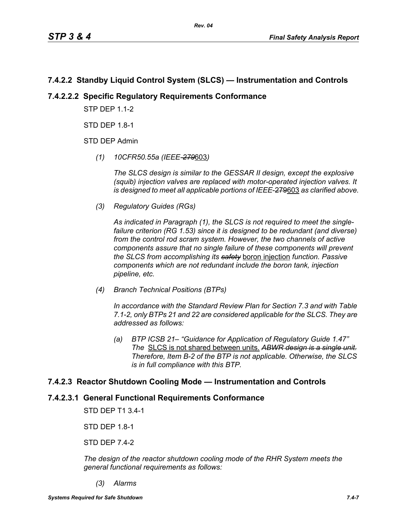# **7.4.2.2 Standby Liquid Control System (SLCS) — Instrumentation and Controls**

# **7.4.2.2.2 Specific Regulatory Requirements Conformance**

**STP DFP 1 1-2** 

STD DEP 1.8-1

STD DEP Admin

*(1) 10CFR50.55a (IEEE-279*603*)*

*The SLCS design is similar to the GESSAR II design, except the explosive (squib) injection valves are replaced with motor-operated injection valves. It is designed to meet all applicable portions of IEEE*-279603 *as clarified above.*

*(3) Regulatory Guides (RGs)*

*As indicated in Paragraph (1), the SLCS is not required to meet the singlefailure criterion (RG 1.53) since it is designed to be redundant (and diverse) from the control rod scram system. However, the two channels of active components assure that no single failure of these components will prevent the SLCS from accomplishing its safety* boron injection *function. Passive components which are not redundant include the boron tank, injection pipeline, etc.*

*(4) Branch Technical Positions (BTPs)*

*In accordance with the Standard Review Plan for Section 7.3 and with Table 7.1-2, only BTPs 21 and 22 are considered applicable for the SLCS. They are addressed as follows:*

*(a) BTP ICSB 21– "Guidance for Application of Regulatory Guide 1.47" The* SLCS is not shared between units. *ABWR design is a single unit. Therefore, Item B-2 of the BTP is not applicable. Otherwise, the SLCS is in full compliance with this BTP.*

# **7.4.2.3 Reactor Shutdown Cooling Mode — Instrumentation and Controls**

# **7.4.2.3.1 General Functional Requirements Conformance**

STD DEP T1 3.4-1

STD DEP 1.8-1

STD DEP 7.4-2

*The design of the reactor shutdown cooling mode of the RHR System meets the general functional requirements as follows:*

*(3) Alarms*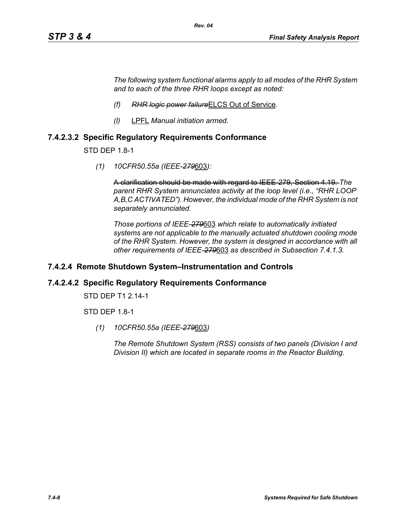*The following system functional alarms apply to all modes of the RHR System and to each of the three RHR loops except as noted:*

- *(f) RHR logic power failure*ELCS Out of Service*.*
- *(l)* LPFL *Manual initiation armed.*

## **7.4.2.3.2 Specific Regulatory Requirements Conformance**

STD DEP 1.8-1

*(1) 10CFR50.55a (IEEE-279*603*):*

A clarification should be made with regard to IEEE-279, Section 4.19. *The parent RHR System annunciates activity at the loop level (i.e., "RHR LOOP A,B,C ACTIVATED"). However, the individual mode of the RHR System is not separately annunciated.*

*Those portions of IEEE-279*603 *which relate to automatically initiated systems are not applicable to the manually actuated shutdown cooling mode of the RHR System. However, the system is designed in accordance with all other requirements of IEEE-279*603 *as described in Subsection 7.4.1.3.*

#### **7.4.2.4 Remote Shutdown System–Instrumentation and Controls**

#### **7.4.2.4.2 Specific Regulatory Requirements Conformance**

STD DEP T1 2.14-1

STD DEP 1.8-1

*(1) 10CFR50.55a (IEEE-279*603*)*

*The Remote Shutdown System (RSS) consists of two panels (Division I and Division II) which are located in separate rooms in the Reactor Building.*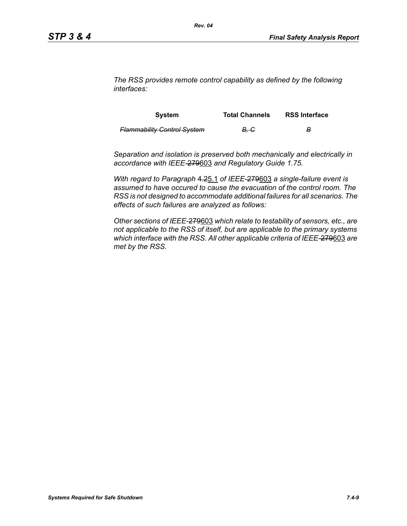*The RSS provides remote control capability as defined by the following interfaces:*

| <b>System</b>                      | <b>Total Channels</b> | <b>RSS Interface</b> |
|------------------------------------|-----------------------|----------------------|
| <b>Flammability Control System</b> | <del>B. C</del>       | в                    |

*Separation and isolation is preserved both mechanically and electrically in accordance with IEEE-*279603 *and Regulatory Guide 1.75.*

*With regard to Paragraph* 4.25.1 *of IEEE-*279603 *a single-failure event is assumed to have occured to cause the evacuation of the control room. The RSS is not designed to accommodate additional failures for all scenarios. The effects of such failures are analyzed as follows:*

*Other sections of IEEE-*279603 *which relate to testability of sensors, etc., are not applicable to the RSS of itself, but are applicable to the primary systems which interface with the RSS. All other applicable criteria of IEEE-*279603 *are met by the RSS.*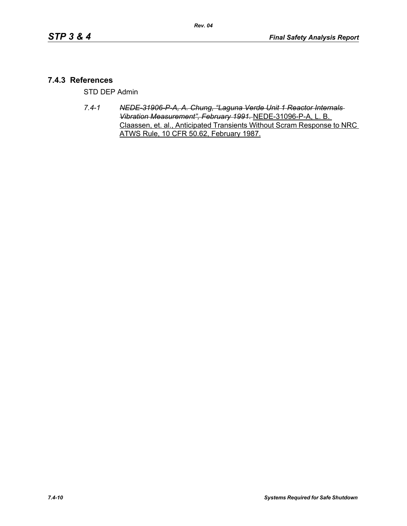## **7.4.3 References**

STD DEP Admin

*7.4-1 NEDE-31906-P-A, A. Chung, "Laguna Verde Unit 1 Reactor Internals Vibration Measurement", February 1991.* NEDE-31096-P-A, L. B. Claassen, et. al., Anticipated Transients Without Scram Response to NRC ATWS Rule, 10 CFR 50.62, February 1987.